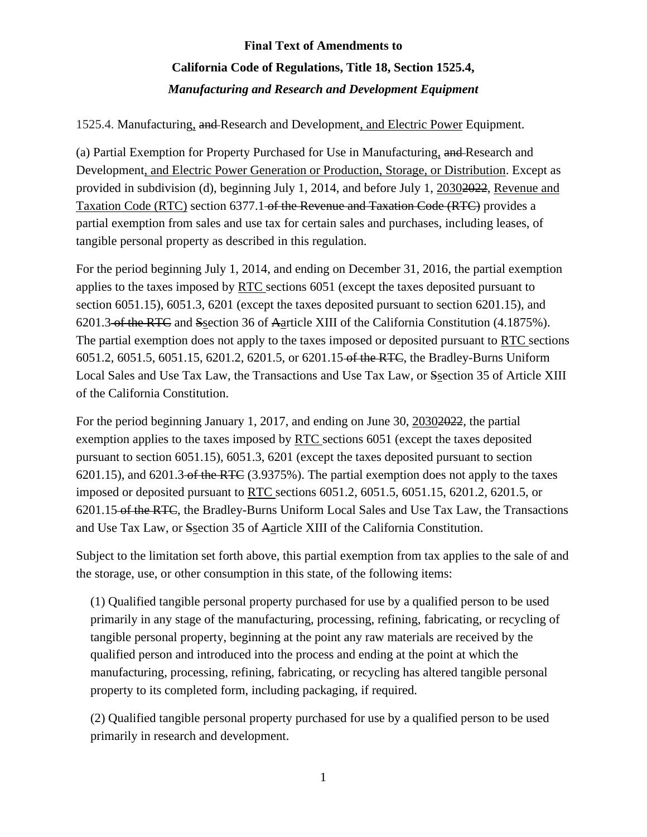### 1525.4. Manufacturing, and Research and Development, and Electric Power Equipment.

(a) Partial Exemption for Property Purchased for Use in Manufacturing, and Research and Development, and Electric Power Generation or Production, Storage, or Distribution. Except as provided in subdivision (d), beginning July 1, 2014, and before July 1, 20302022, Revenue and Taxation Code (RTC) section 6377.1-of the Revenue and Taxation Code (RTC) provides a partial exemption from sales and use tax for certain sales and purchases, including leases, of tangible personal property as described in this regulation.

For the period beginning July 1, 2014, and ending on December 31, 2016, the partial exemption applies to the taxes imposed by RTC sections 6051 (except the taxes deposited pursuant to section 6051.15), 6051.3, 6201 (except the taxes deposited pursuant to section 6201.15), and 6201.3 of the RTC and Ssection 36 of Aarticle XIII of the California Constitution (4.1875%). The partial exemption does not apply to the taxes imposed or deposited pursuant to RTC sections 6051.2, 6051.5, 6051.15, 6201.2, 6201.5, or 6201.15 of the RTC, the Bradley-Burns Uniform Local Sales and Use Tax Law, the Transactions and Use Tax Law, or Ssection 35 of Article XIII of the California Constitution.

For the period beginning January 1, 2017, and ending on June 30, 20302022, the partial exemption applies to the taxes imposed by RTC sections 6051 (except the taxes deposited pursuant to section 6051.15), 6051.3, 6201 (except the taxes deposited pursuant to section 6201.15), and 6201.3 of the RTC (3.9375%). The partial exemption does not apply to the taxes imposed or deposited pursuant to RTC sections 6051.2, 6051.5, 6051.15, 6201.2, 6201.5, or 6201.15 of the RTC, the Bradley-Burns Uniform Local Sales and Use Tax Law, the Transactions and Use Tax Law, or Ssection 35 of Aarticle XIII of the California Constitution.

Subject to the limitation set forth above, this partial exemption from tax applies to the sale of and the storage, use, or other consumption in this state, of the following items:

(1) Qualified tangible personal property purchased for use by a qualified person to be used primarily in any stage of the manufacturing, processing, refining, fabricating, or recycling of tangible personal property, beginning at the point any raw materials are received by the qualified person and introduced into the process and ending at the point at which the manufacturing, processing, refining, fabricating, or recycling has altered tangible personal property to its completed form, including packaging, if required.

(2) Qualified tangible personal property purchased for use by a qualified person to be used primarily in research and development.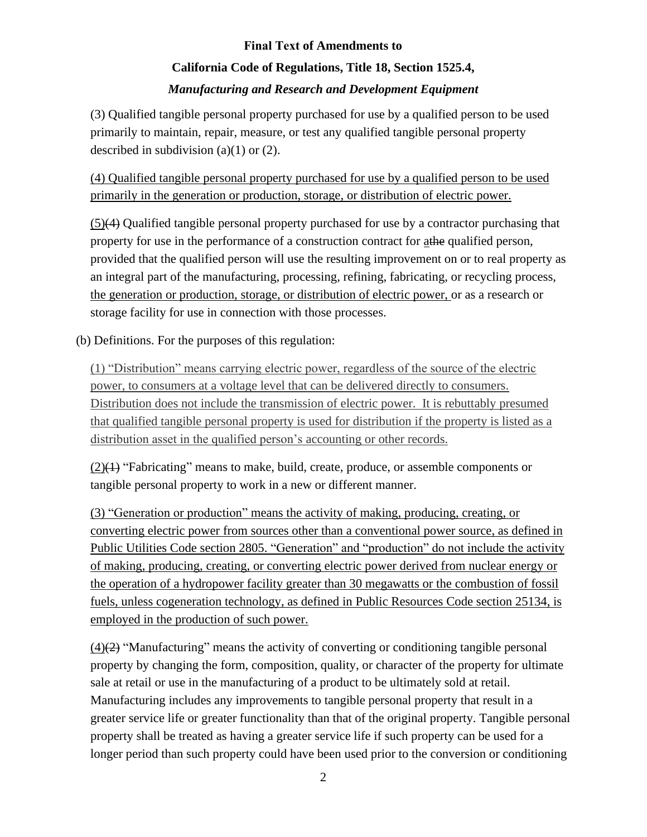(3) Qualified tangible personal property purchased for use by a qualified person to be used primarily to maintain, repair, measure, or test any qualified tangible personal property described in subdivision  $(a)(1)$  or  $(2)$ .

(4) Qualified tangible personal property purchased for use by a qualified person to be used primarily in the generation or production, storage, or distribution of electric power.

(5)(4) Qualified tangible personal property purchased for use by a contractor purchasing that property for use in the performance of a construction contract for athe qualified person, provided that the qualified person will use the resulting improvement on or to real property as an integral part of the manufacturing, processing, refining, fabricating, or recycling process, the generation or production, storage, or distribution of electric power, or as a research or storage facility for use in connection with those processes.

(b) Definitions. For the purposes of this regulation:

(1) "Distribution" means carrying electric power, regardless of the source of the electric power, to consumers at a voltage level that can be delivered directly to consumers. Distribution does not include the transmission of electric power. It is rebuttably presumed that qualified tangible personal property is used for distribution if the property is listed as a distribution asset in the qualified person's accounting or other records.

 $(2)$ ( $\leftrightarrow$ ) "Fabricating" means to make, build, create, produce, or assemble components or tangible personal property to work in a new or different manner.

(3) "Generation or production" means the activity of making, producing, creating, or converting electric power from sources other than a conventional power source, as defined in Public Utilities Code section 2805. "Generation" and "production" do not include the activity of making, producing, creating, or converting electric power derived from nuclear energy or the operation of a hydropower facility greater than 30 megawatts or the combustion of fossil fuels, unless cogeneration technology, as defined in Public Resources Code section 25134, is employed in the production of such power.

 $(4)$ (2) "Manufacturing" means the activity of converting or conditioning tangible personal property by changing the form, composition, quality, or character of the property for ultimate sale at retail or use in the manufacturing of a product to be ultimately sold at retail. Manufacturing includes any improvements to tangible personal property that result in a greater service life or greater functionality than that of the original property. Tangible personal property shall be treated as having a greater service life if such property can be used for a longer period than such property could have been used prior to the conversion or conditioning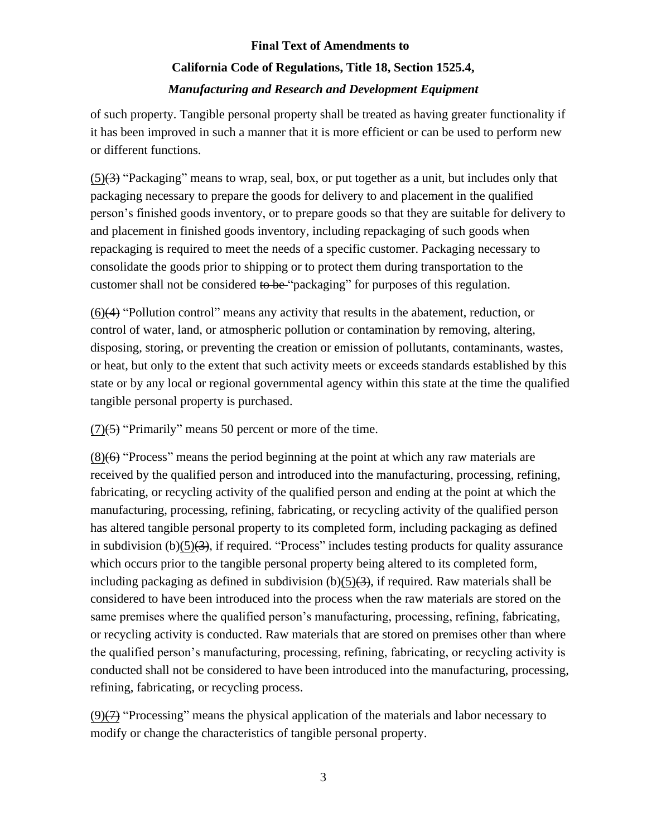of such property. Tangible personal property shall be treated as having greater functionality if it has been improved in such a manner that it is more efficient or can be used to perform new or different functions.

 $(5)(3)$  "Packaging" means to wrap, seal, box, or put together as a unit, but includes only that packaging necessary to prepare the goods for delivery to and placement in the qualified person's finished goods inventory, or to prepare goods so that they are suitable for delivery to and placement in finished goods inventory, including repackaging of such goods when repackaging is required to meet the needs of a specific customer. Packaging necessary to consolidate the goods prior to shipping or to protect them during transportation to the customer shall not be considered to be "packaging" for purposes of this regulation.

(6)(4) "Pollution control" means any activity that results in the abatement, reduction, or control of water, land, or atmospheric pollution or contamination by removing, altering, disposing, storing, or preventing the creation or emission of pollutants, contaminants, wastes, or heat, but only to the extent that such activity meets or exceeds standards established by this state or by any local or regional governmental agency within this state at the time the qualified tangible personal property is purchased.

 $(7)(5)$  "Primarily" means 50 percent or more of the time.

(8)(6) "Process" means the period beginning at the point at which any raw materials are received by the qualified person and introduced into the manufacturing, processing, refining, fabricating, or recycling activity of the qualified person and ending at the point at which the manufacturing, processing, refining, fabricating, or recycling activity of the qualified person has altered tangible personal property to its completed form, including packaging as defined in subdivision  $(b)(5)(3)$ , if required. "Process" includes testing products for quality assurance which occurs prior to the tangible personal property being altered to its completed form, including packaging as defined in subdivision  $(b)(5)(3)$ , if required. Raw materials shall be considered to have been introduced into the process when the raw materials are stored on the same premises where the qualified person's manufacturing, processing, refining, fabricating, or recycling activity is conducted. Raw materials that are stored on premises other than where the qualified person's manufacturing, processing, refining, fabricating, or recycling activity is conducted shall not be considered to have been introduced into the manufacturing, processing, refining, fabricating, or recycling process.

(9)(7) "Processing" means the physical application of the materials and labor necessary to modify or change the characteristics of tangible personal property.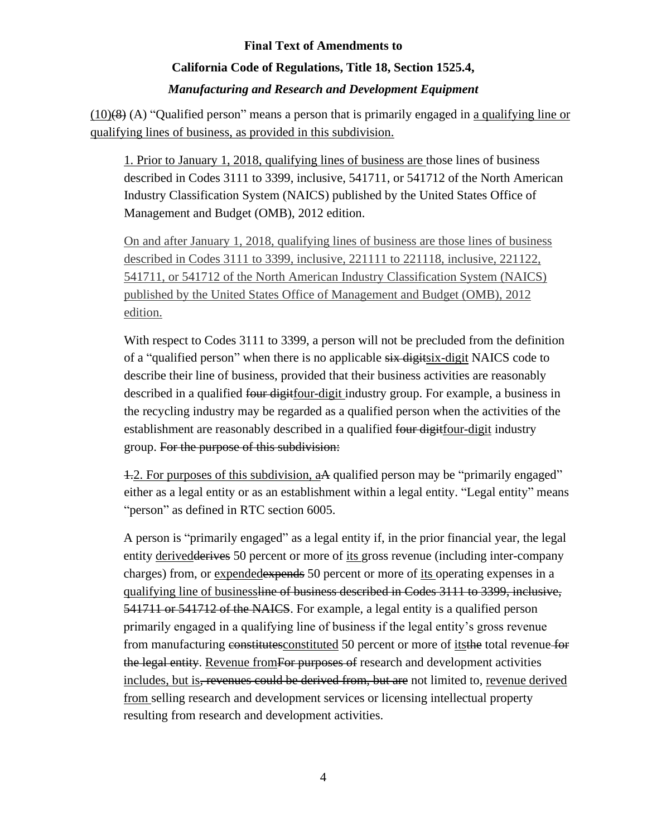### **California Code of Regulations, Title 18, Section 1525.4,**  *Manufacturing and Research and Development Equipment*

 $(10)(8)$  (A) "Qualified person" means a person that is primarily engaged in a qualifying line or qualifying lines of business, as provided in this subdivision.

1. Prior to January 1, 2018, qualifying lines of business are those lines of business described in Codes 3111 to 3399, inclusive, 541711, or 541712 of the North American Industry Classification System (NAICS) published by the United States Office of Management and Budget (OMB), 2012 edition.

On and after January 1, 2018, qualifying lines of business are those lines of business described in Codes 3111 to 3399, inclusive, 221111 to 221118, inclusive, 221122, 541711, or 541712 of the North American Industry Classification System (NAICS) published by the United States Office of Management and Budget (OMB), 2012 edition.

With respect to Codes 3111 to 3399, a person will not be precluded from the definition of a "qualified person" when there is no applicable six digitsix-digit NAICS code to describe their line of business, provided that their business activities are reasonably described in a qualified four digitfour-digit industry group. For example, a business in the recycling industry may be regarded as a qualified person when the activities of the establishment are reasonably described in a qualified four digitfour-digit industry group. For the purpose of this subdivision:

1.2. For purposes of this subdivision, aA qualified person may be "primarily engaged" either as a legal entity or as an establishment within a legal entity. "Legal entity" means "person" as defined in RTC section 6005.

A person is "primarily engaged" as a legal entity if, in the prior financial year, the legal entity derivedderives 50 percent or more of its gross revenue (including inter-company charges) from, or expendedexpends 50 percent or more of its operating expenses in a qualifying line of businessline of business described in Codes 3111 to 3399, inclusive, 541711 or 541712 of the NAICS. For example, a legal entity is a qualified person primarily engaged in a qualifying line of business if the legal entity's gross revenue from manufacturing constitutesconstituted 50 percent or more of itsthe total revenue for the legal entity. Revenue from For purposes of research and development activities includes, but is, revenues could be derived from, but are not limited to, revenue derived from selling research and development services or licensing intellectual property resulting from research and development activities.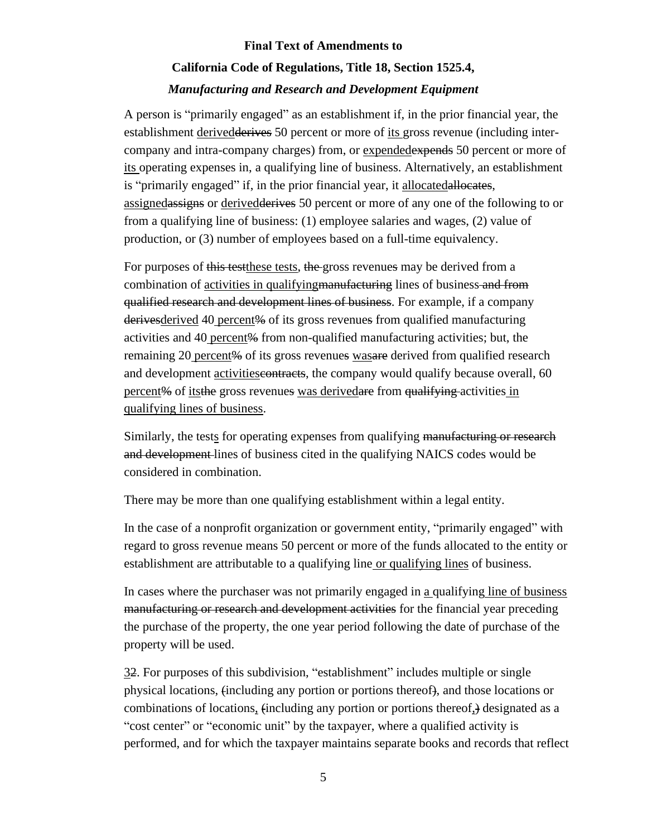A person is "primarily engaged" as an establishment if, in the prior financial year, the establishment derivedderives 50 percent or more of its gross revenue (including intercompany and intra-company charges) from, or expendedexpends 50 percent or more of its operating expenses in, a qualifying line of business. Alternatively, an establishment is "primarily engaged" if, in the prior financial year, it allocatedallocates, assignedassigns or derivedderives 50 percent or more of any one of the following to or from a qualifying line of business: (1) employee salaries and wages, (2) value of production, or (3) number of employees based on a full-time equivalency.

For purposes of this test these tests, the gross revenues may be derived from a combination of activities in qualifyingmanufacturing lines of business and from qualified research and development lines of business. For example, if a company derivesderived 40 percent% of its gross revenues from qualified manufacturing activities and 40 percent<sup>%</sup> from non-qualified manufacturing activities; but, the remaining 20 percent<sup>%</sup> of its gross revenues was are derived from qualified research and development activities contracts, the company would qualify because overall, 60 percent% of itsthe gross revenues was derivedare from qualifying activities in qualifying lines of business.

Similarly, the tests for operating expenses from qualifying manufacturing or research and development lines of business cited in the qualifying NAICS codes would be considered in combination.

There may be more than one qualifying establishment within a legal entity.

In the case of a nonprofit organization or government entity, "primarily engaged" with regard to gross revenue means 50 percent or more of the funds allocated to the entity or establishment are attributable to a qualifying line or qualifying lines of business.

In cases where the purchaser was not primarily engaged in a qualifying line of business manufacturing or research and development activities for the financial year preceding the purchase of the property, the one year period following the date of purchase of the property will be used.

32. For purposes of this subdivision, "establishment" includes multiple or single physical locations, (including any portion or portions thereof), and those locations or combinations of locations, (including any portion or portions thereof,) designated as a "cost center" or "economic unit" by the taxpayer, where a qualified activity is performed, and for which the taxpayer maintains separate books and records that reflect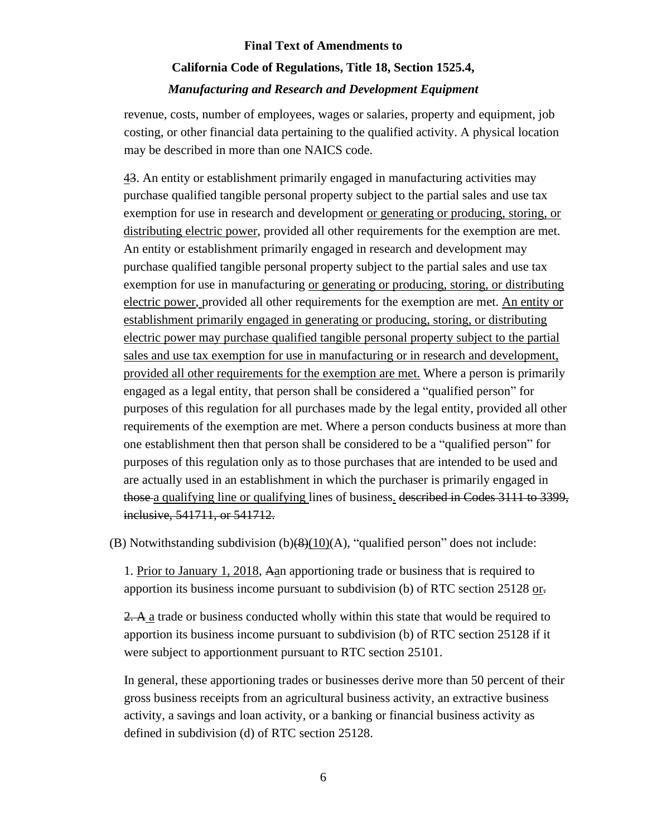revenue, costs, number of employees, wages or salaries, property and equipment, job costing, or other financial data pertaining to the qualified activity. A physical location may be described in more than one NAICS code.

43. An entity or establishment primarily engaged in manufacturing activities may purchase qualified tangible personal property subject to the partial sales and use tax exemption for use in research and development or generating or producing, storing, or distributing electric power, provided all other requirements for the exemption are met. An entity or establishment primarily engaged in research and development may purchase qualified tangible personal property subject to the partial sales and use tax exemption for use in manufacturing or generating or producing, storing, or distributing electric power, provided all other requirements for the exemption are met. An entity or establishment primarily engaged in generating or producing, storing, or distributing electric power may purchase qualified tangible personal property subject to the partial sales and use tax exemption for use in manufacturing or in research and development, provided all other requirements for the exemption are met. Where a person is primarily engaged as a legal entity, that person shall be considered a "qualified person" for purposes of this regulation for all purchases made by the legal entity, provided all other requirements of the exemption are met. Where a person conducts business at more than one establishment then that person shall be considered to be a "qualified person" for purposes of this regulation only as to those purchases that are intended to be used and are actually used in an establishment in which the purchaser is primarily engaged in those a qualifying line or qualifying lines of business. described in Codes 3111 to 3399, inclusive, 541711, or 541712.

(B) Notwithstanding subdivision  $(b)(8)(10)(A)$ , "qualified person" does not include:

1. Prior to January 1, 2018, Aan apportioning trade or business that is required to apportion its business income pursuant to subdivision (b) of RTC section 25128 or.

2. A a trade or business conducted wholly within this state that would be required to apportion its business income pursuant to subdivision (b) of RTC section 25128 if it were subject to apportionment pursuant to RTC section 25101.

In general, these apportioning trades or businesses derive more than 50 percent of their gross business receipts from an agricultural business activity, an extractive business activity, a savings and loan activity, or a banking or financial business activity as defined in subdivision (d) of RTC section 25128.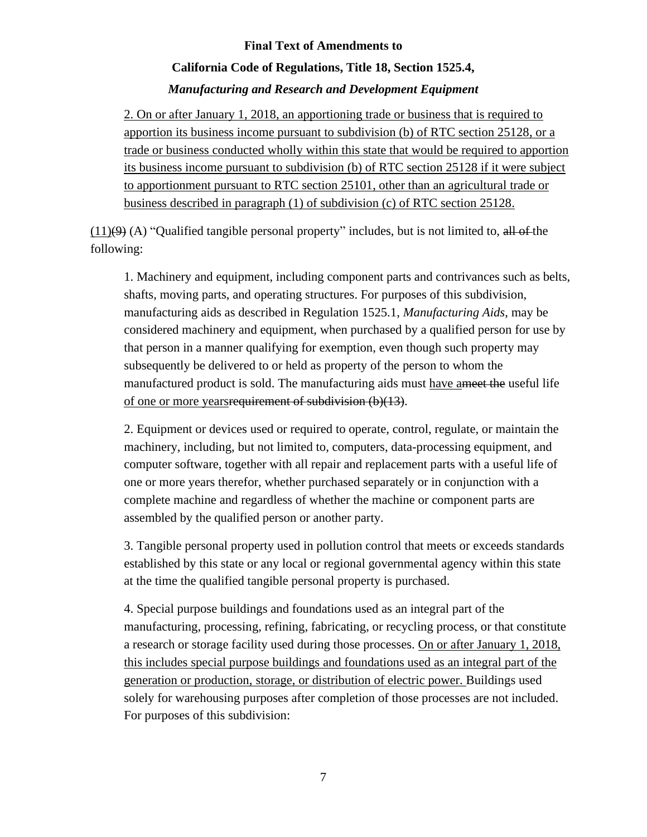### **California Code of Regulations, Title 18, Section 1525.4,**  *Manufacturing and Research and Development Equipment*

2. On or after January 1, 2018, an apportioning trade or business that is required to apportion its business income pursuant to subdivision (b) of RTC section 25128, or a trade or business conducted wholly within this state that would be required to apportion its business income pursuant to subdivision (b) of RTC section 25128 if it were subject to apportionment pursuant to RTC section 25101, other than an agricultural trade or business described in paragraph (1) of subdivision (c) of RTC section 25128.

 $(11)(9)$  (A) "Qualified tangible personal property" includes, but is not limited to, all of the following:

1. Machinery and equipment, including component parts and contrivances such as belts, shafts, moving parts, and operating structures. For purposes of this subdivision, manufacturing aids as described in Regulation 1525.1, *Manufacturing Aids*, may be considered machinery and equipment, when purchased by a qualified person for use by that person in a manner qualifying for exemption, even though such property may subsequently be delivered to or held as property of the person to whom the manufactured product is sold. The manufacturing aids must have ameet the useful life of one or more yearsrequirement of subdivision (b)(13).

2. Equipment or devices used or required to operate, control, regulate, or maintain the machinery, including, but not limited to, computers, data-processing equipment, and computer software, together with all repair and replacement parts with a useful life of one or more years therefor, whether purchased separately or in conjunction with a complete machine and regardless of whether the machine or component parts are assembled by the qualified person or another party.

3. Tangible personal property used in pollution control that meets or exceeds standards established by this state or any local or regional governmental agency within this state at the time the qualified tangible personal property is purchased.

4. Special purpose buildings and foundations used as an integral part of the manufacturing, processing, refining, fabricating, or recycling process, or that constitute a research or storage facility used during those processes. On or after January 1, 2018, this includes special purpose buildings and foundations used as an integral part of the generation or production, storage, or distribution of electric power. Buildings used solely for warehousing purposes after completion of those processes are not included. For purposes of this subdivision: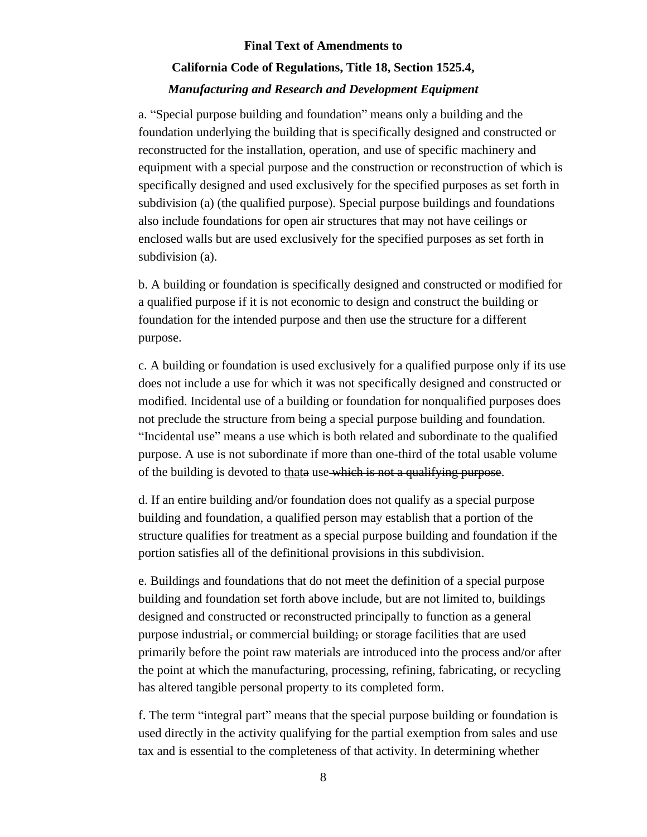### **California Code of Regulations, Title 18, Section 1525.4,**  *Manufacturing and Research and Development Equipment*

a. "Special purpose building and foundation" means only a building and the foundation underlying the building that is specifically designed and constructed or reconstructed for the installation, operation, and use of specific machinery and equipment with a special purpose and the construction or reconstruction of which is specifically designed and used exclusively for the specified purposes as set forth in subdivision (a) (the qualified purpose). Special purpose buildings and foundations also include foundations for open air structures that may not have ceilings or enclosed walls but are used exclusively for the specified purposes as set forth in subdivision (a).

b. A building or foundation is specifically designed and constructed or modified for a qualified purpose if it is not economic to design and construct the building or foundation for the intended purpose and then use the structure for a different purpose.

c. A building or foundation is used exclusively for a qualified purpose only if its use does not include a use for which it was not specifically designed and constructed or modified. Incidental use of a building or foundation for nonqualified purposes does not preclude the structure from being a special purpose building and foundation. "Incidental use" means a use which is both related and subordinate to the qualified purpose. A use is not subordinate if more than one-third of the total usable volume of the building is devoted to thata use which is not a qualifying purpose.

d. If an entire building and/or foundation does not qualify as a special purpose building and foundation, a qualified person may establish that a portion of the structure qualifies for treatment as a special purpose building and foundation if the portion satisfies all of the definitional provisions in this subdivision.

e. Buildings and foundations that do not meet the definition of a special purpose building and foundation set forth above include, but are not limited to, buildings designed and constructed or reconstructed principally to function as a general purpose industrial, or commercial building; or storage facilities that are used primarily before the point raw materials are introduced into the process and/or after the point at which the manufacturing, processing, refining, fabricating, or recycling has altered tangible personal property to its completed form.

f. The term "integral part" means that the special purpose building or foundation is used directly in the activity qualifying for the partial exemption from sales and use tax and is essential to the completeness of that activity. In determining whether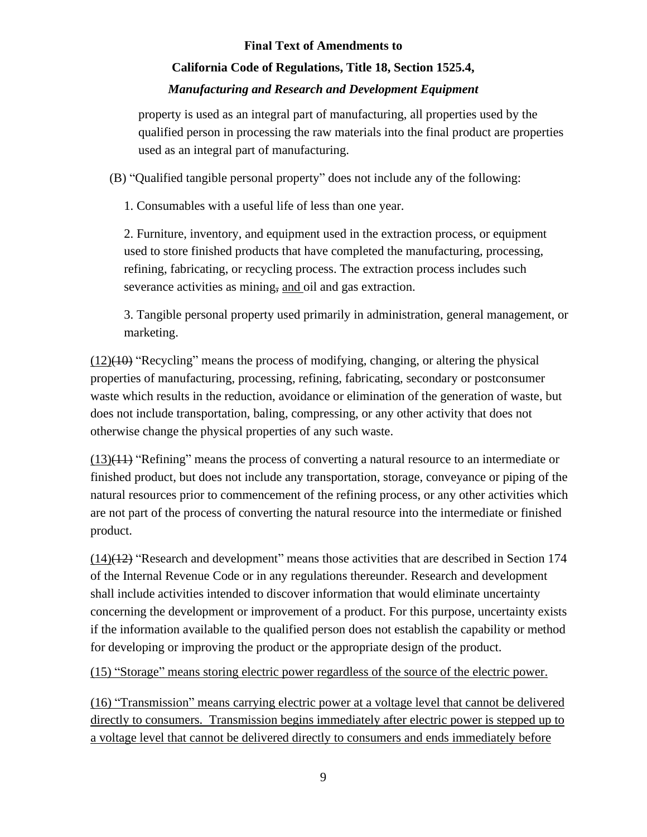### **California Code of Regulations, Title 18, Section 1525.4,**

### *Manufacturing and Research and Development Equipment*

property is used as an integral part of manufacturing, all properties used by the qualified person in processing the raw materials into the final product are properties used as an integral part of manufacturing.

(B) "Qualified tangible personal property" does not include any of the following:

1. Consumables with a useful life of less than one year.

2. Furniture, inventory, and equipment used in the extraction process, or equipment used to store finished products that have completed the manufacturing, processing, refining, fabricating, or recycling process. The extraction process includes such severance activities as mining, and oil and gas extraction.

3. Tangible personal property used primarily in administration, general management, or marketing.

 $(12)(10)$  "Recycling" means the process of modifying, changing, or altering the physical properties of manufacturing, processing, refining, fabricating, secondary or postconsumer waste which results in the reduction, avoidance or elimination of the generation of waste, but does not include transportation, baling, compressing, or any other activity that does not otherwise change the physical properties of any such waste.

(13)(11) "Refining" means the process of converting a natural resource to an intermediate or finished product, but does not include any transportation, storage, conveyance or piping of the natural resources prior to commencement of the refining process, or any other activities which are not part of the process of converting the natural resource into the intermediate or finished product.

(14)(12) "Research and development" means those activities that are described in Section 174 of the Internal Revenue Code or in any regulations thereunder. Research and development shall include activities intended to discover information that would eliminate uncertainty concerning the development or improvement of a product. For this purpose, uncertainty exists if the information available to the qualified person does not establish the capability or method for developing or improving the product or the appropriate design of the product.

(15) "Storage" means storing electric power regardless of the source of the electric power.

(16) "Transmission" means carrying electric power at a voltage level that cannot be delivered directly to consumers. Transmission begins immediately after electric power is stepped up to a voltage level that cannot be delivered directly to consumers and ends immediately before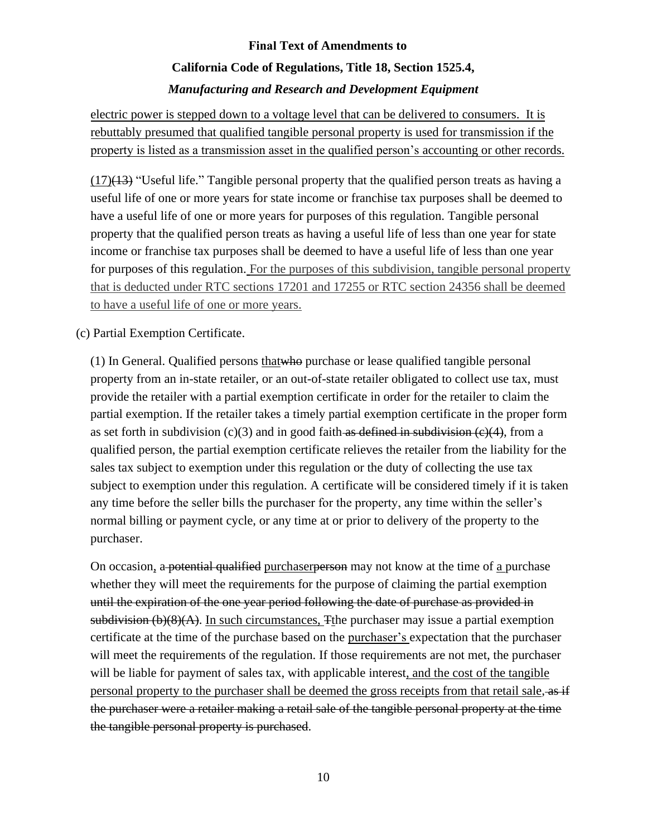electric power is stepped down to a voltage level that can be delivered to consumers. It is rebuttably presumed that qualified tangible personal property is used for transmission if the property is listed as a transmission asset in the qualified person's accounting or other records.

 $(17)(13)$  "Useful life." Tangible personal property that the qualified person treats as having a useful life of one or more years for state income or franchise tax purposes shall be deemed to have a useful life of one or more years for purposes of this regulation. Tangible personal property that the qualified person treats as having a useful life of less than one year for state income or franchise tax purposes shall be deemed to have a useful life of less than one year for purposes of this regulation. For the purposes of this subdivision, tangible personal property that is deducted under RTC sections 17201 and 17255 or RTC section 24356 shall be deemed to have a useful life of one or more years.

#### (c) Partial Exemption Certificate.

(1) In General. Qualified persons thatwho purchase or lease qualified tangible personal property from an in-state retailer, or an out-of-state retailer obligated to collect use tax, must provide the retailer with a partial exemption certificate in order for the retailer to claim the partial exemption. If the retailer takes a timely partial exemption certificate in the proper form as set forth in subdivision  $(c)(3)$  and in good faith as defined in subdivision  $(c)(4)$ , from a qualified person, the partial exemption certificate relieves the retailer from the liability for the sales tax subject to exemption under this regulation or the duty of collecting the use tax subject to exemption under this regulation. A certificate will be considered timely if it is taken any time before the seller bills the purchaser for the property, any time within the seller's normal billing or payment cycle, or any time at or prior to delivery of the property to the purchaser.

On occasion, a potential qualified purchaser person may not know at the time of a purchase whether they will meet the requirements for the purpose of claiming the partial exemption until the expiration of the one year period following the date of purchase as provided in subdivision (b)(8)(A). In such circumstances, Tthe purchaser may issue a partial exemption certificate at the time of the purchase based on the purchaser's expectation that the purchaser will meet the requirements of the regulation. If those requirements are not met, the purchaser will be liable for payment of sales tax, with applicable interest, and the cost of the tangible personal property to the purchaser shall be deemed the gross receipts from that retail sale, as if the purchaser were a retailer making a retail sale of the tangible personal property at the time the tangible personal property is purchased.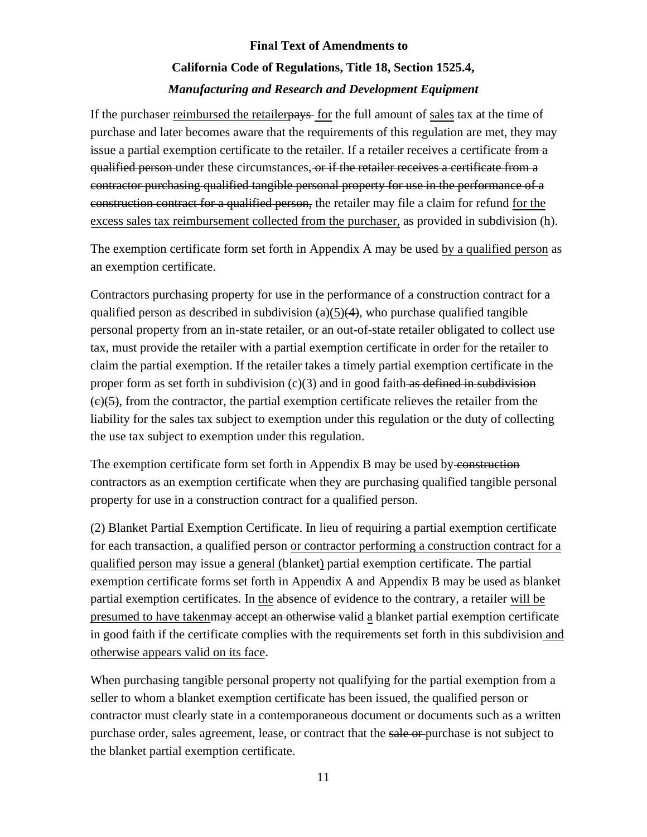If the purchaser reimbursed the retailerpays for the full amount of sales tax at the time of purchase and later becomes aware that the requirements of this regulation are met, they may issue a partial exemption certificate to the retailer. If a retailer receives a certificate from a qualified person under these circumstances, or if the retailer receives a certificate from a contractor purchasing qualified tangible personal property for use in the performance of a construction contract for a qualified person, the retailer may file a claim for refund for the excess sales tax reimbursement collected from the purchaser, as provided in subdivision (h).

The exemption certificate form set forth in Appendix A may be used by a qualified person as an exemption certificate.

Contractors purchasing property for use in the performance of a construction contract for a qualified person as described in subdivision (a)( $5$ )( $4$ ), who purchase qualified tangible personal property from an in-state retailer, or an out-of-state retailer obligated to collect use tax, must provide the retailer with a partial exemption certificate in order for the retailer to claim the partial exemption. If the retailer takes a timely partial exemption certificate in the proper form as set forth in subdivision  $(c)(3)$  and in good faith as defined in subdivision  $(e)(5)$ , from the contractor, the partial exemption certificate relieves the retailer from the liability for the sales tax subject to exemption under this regulation or the duty of collecting the use tax subject to exemption under this regulation.

The exemption certificate form set forth in Appendix B may be used by construction contractors as an exemption certificate when they are purchasing qualified tangible personal property for use in a construction contract for a qualified person.

(2) Blanket Partial Exemption Certificate. In lieu of requiring a partial exemption certificate for each transaction, a qualified person or contractor performing a construction contract for a qualified person may issue a general (blanket) partial exemption certificate. The partial exemption certificate forms set forth in Appendix A and Appendix B may be used as blanket partial exemption certificates. In the absence of evidence to the contrary, a retailer will be presumed to have takenmay accept an otherwise valid a blanket partial exemption certificate in good faith if the certificate complies with the requirements set forth in this subdivision and otherwise appears valid on its face.

When purchasing tangible personal property not qualifying for the partial exemption from a seller to whom a blanket exemption certificate has been issued, the qualified person or contractor must clearly state in a contemporaneous document or documents such as a written purchase order, sales agreement, lease, or contract that the sale or purchase is not subject to the blanket partial exemption certificate.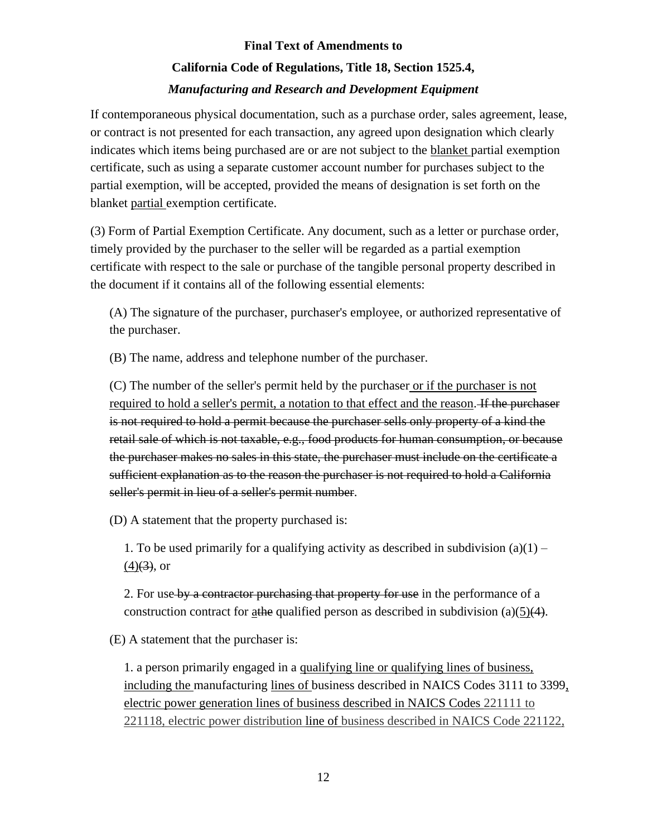If contemporaneous physical documentation, such as a purchase order, sales agreement, lease, or contract is not presented for each transaction, any agreed upon designation which clearly indicates which items being purchased are or are not subject to the blanket partial exemption certificate, such as using a separate customer account number for purchases subject to the partial exemption, will be accepted, provided the means of designation is set forth on the blanket partial exemption certificate.

(3) Form of Partial Exemption Certificate. Any document, such as a letter or purchase order, timely provided by the purchaser to the seller will be regarded as a partial exemption certificate with respect to the sale or purchase of the tangible personal property described in the document if it contains all of the following essential elements:

(A) The signature of the purchaser, purchaser's employee, or authorized representative of the purchaser.

(B) The name, address and telephone number of the purchaser.

(C) The number of the seller's permit held by the purchaser or if the purchaser is not required to hold a seller's permit, a notation to that effect and the reason. If the purchaser is not required to hold a permit because the purchaser sells only property of a kind the retail sale of which is not taxable, e.g., food products for human consumption, or because the purchaser makes no sales in this state, the purchaser must include on the certificate a sufficient explanation as to the reason the purchaser is not required to hold a California seller's permit in lieu of a seller's permit number.

(D) A statement that the property purchased is:

1. To be used primarily for a qualifying activity as described in subdivision  $(a)(1)$  –  $(4)$ (3), or

2. For use by a contractor purchasing that property for use in the performance of a construction contract for athe qualified person as described in subdivision (a)(5) $\left(4\right)$ .

(E) A statement that the purchaser is:

1. a person primarily engaged in a qualifying line or qualifying lines of business, including the manufacturing lines of business described in NAICS Codes 3111 to 3399, electric power generation lines of business described in NAICS Codes 221111 to 221118, electric power distribution line of business described in NAICS Code 221122,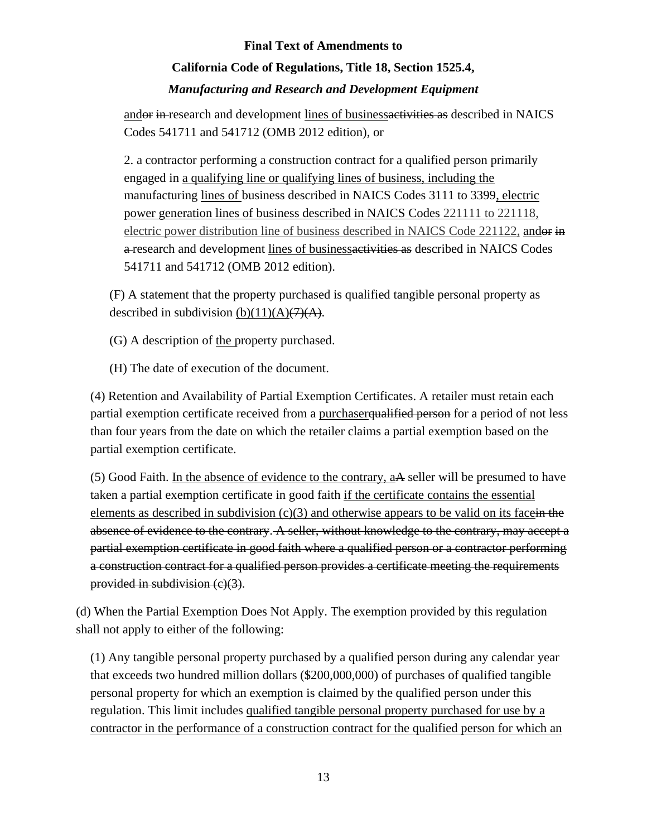# **California Code of Regulations, Title 18, Section 1525.4,**

### *Manufacturing and Research and Development Equipment*

andor in research and development lines of businessactivities as described in NAICS Codes 541711 and 541712 (OMB 2012 edition), or

2. a contractor performing a construction contract for a qualified person primarily engaged in a qualifying line or qualifying lines of business, including the manufacturing lines of business described in NAICS Codes 3111 to 3399, electric power generation lines of business described in NAICS Codes 221111 to 221118, electric power distribution line of business described in NAICS Code 221122, andor in a research and development lines of businessactivities as described in NAICS Codes 541711 and 541712 (OMB 2012 edition).

(F) A statement that the property purchased is qualified tangible personal property as described in subdivision  $(b)(11)(A)$  $(7)(A)$ .

(G) A description of the property purchased.

(H) The date of execution of the document.

(4) Retention and Availability of Partial Exemption Certificates. A retailer must retain each partial exemption certificate received from a purchaser qualified person for a period of not less than four years from the date on which the retailer claims a partial exemption based on the partial exemption certificate.

(5) Good Faith. In the absence of evidence to the contrary, aA seller will be presumed to have taken a partial exemption certificate in good faith if the certificate contains the essential elements as described in subdivision  $(c)(3)$  and otherwise appears to be valid on its facein the absence of evidence to the contrary. A seller, without knowledge to the contrary, may accept a partial exemption certificate in good faith where a qualified person or a contractor performing a construction contract for a qualified person provides a certificate meeting the requirements provided in subdivision (c)(3).

(d) When the Partial Exemption Does Not Apply. The exemption provided by this regulation shall not apply to either of the following:

(1) Any tangible personal property purchased by a qualified person during any calendar year that exceeds two hundred million dollars (\$200,000,000) of purchases of qualified tangible personal property for which an exemption is claimed by the qualified person under this regulation. This limit includes qualified tangible personal property purchased for use by a contractor in the performance of a construction contract for the qualified person for which an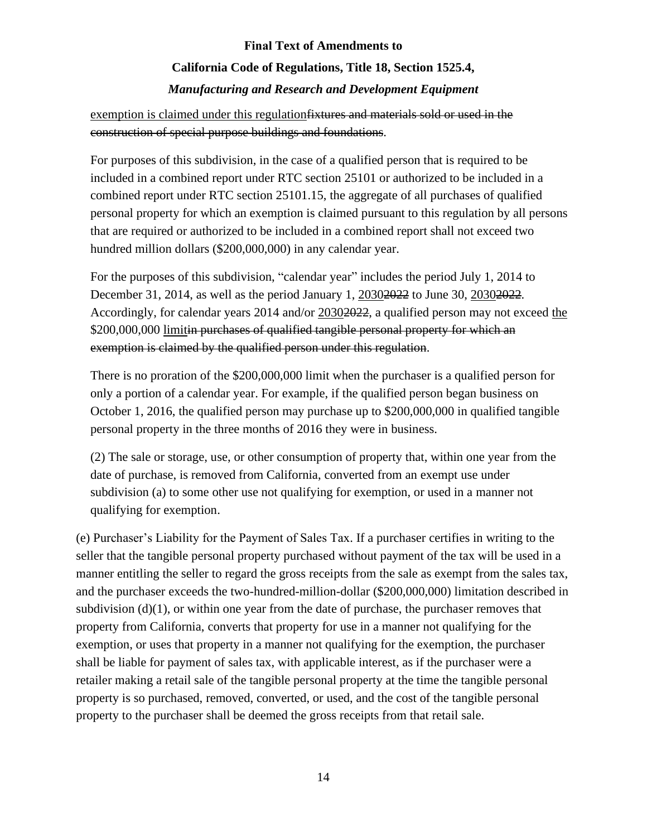### exemption is claimed under this regulationfixtures and materials sold or used in the construction of special purpose buildings and foundations.

For purposes of this subdivision, in the case of a qualified person that is required to be included in a combined report under RTC section 25101 or authorized to be included in a combined report under RTC section 25101.15, the aggregate of all purchases of qualified personal property for which an exemption is claimed pursuant to this regulation by all persons that are required or authorized to be included in a combined report shall not exceed two hundred million dollars (\$200,000,000) in any calendar year.

For the purposes of this subdivision, "calendar year" includes the period July 1, 2014 to December 31, 2014, as well as the period January 1, 2030<del>2022</del> to June 30, 2030<del>2022</del>. Accordingly, for calendar years 2014 and/or 2030<del>2022</del>, a qualified person may not exceed the \$200,000,000 limitin purchases of qualified tangible personal property for which an exemption is claimed by the qualified person under this regulation.

There is no proration of the \$200,000,000 limit when the purchaser is a qualified person for only a portion of a calendar year. For example, if the qualified person began business on October 1, 2016, the qualified person may purchase up to \$200,000,000 in qualified tangible personal property in the three months of 2016 they were in business.

(2) The sale or storage, use, or other consumption of property that, within one year from the date of purchase, is removed from California, converted from an exempt use under subdivision (a) to some other use not qualifying for exemption, or used in a manner not qualifying for exemption.

(e) Purchaser's Liability for the Payment of Sales Tax. If a purchaser certifies in writing to the seller that the tangible personal property purchased without payment of the tax will be used in a manner entitling the seller to regard the gross receipts from the sale as exempt from the sales tax, and the purchaser exceeds the two-hundred-million-dollar (\$200,000,000) limitation described in subdivision  $(d)(1)$ , or within one year from the date of purchase, the purchaser removes that property from California, converts that property for use in a manner not qualifying for the exemption, or uses that property in a manner not qualifying for the exemption, the purchaser shall be liable for payment of sales tax, with applicable interest, as if the purchaser were a retailer making a retail sale of the tangible personal property at the time the tangible personal property is so purchased, removed, converted, or used, and the cost of the tangible personal property to the purchaser shall be deemed the gross receipts from that retail sale.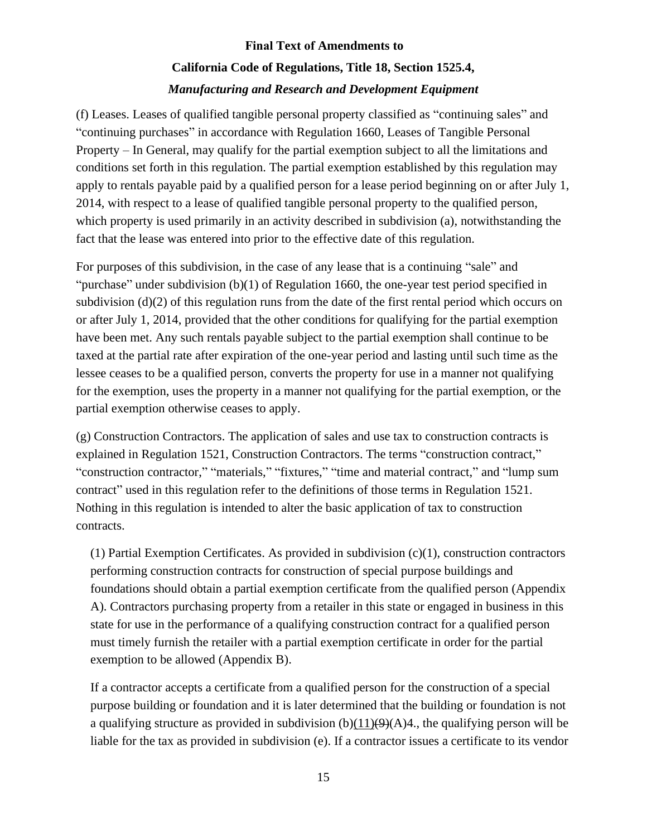(f) Leases. Leases of qualified tangible personal property classified as "continuing sales" and "continuing purchases" in accordance with Regulation 1660, Leases of Tangible Personal Property – In General, may qualify for the partial exemption subject to all the limitations and conditions set forth in this regulation. The partial exemption established by this regulation may apply to rentals payable paid by a qualified person for a lease period beginning on or after July 1, 2014, with respect to a lease of qualified tangible personal property to the qualified person, which property is used primarily in an activity described in subdivision (a), notwithstanding the fact that the lease was entered into prior to the effective date of this regulation.

For purposes of this subdivision, in the case of any lease that is a continuing "sale" and "purchase" under subdivision (b)(1) of Regulation 1660, the one-year test period specified in subdivision (d)(2) of this regulation runs from the date of the first rental period which occurs on or after July 1, 2014, provided that the other conditions for qualifying for the partial exemption have been met. Any such rentals payable subject to the partial exemption shall continue to be taxed at the partial rate after expiration of the one-year period and lasting until such time as the lessee ceases to be a qualified person, converts the property for use in a manner not qualifying for the exemption, uses the property in a manner not qualifying for the partial exemption, or the partial exemption otherwise ceases to apply.

(g) Construction Contractors. The application of sales and use tax to construction contracts is explained in Regulation 1521, Construction Contractors. The terms "construction contract," "construction contractor," "materials," "fixtures," "time and material contract," and "lump sum contract" used in this regulation refer to the definitions of those terms in Regulation 1521. Nothing in this regulation is intended to alter the basic application of tax to construction contracts.

(1) Partial Exemption Certificates. As provided in subdivision (c)(1), construction contractors performing construction contracts for construction of special purpose buildings and foundations should obtain a partial exemption certificate from the qualified person (Appendix A). Contractors purchasing property from a retailer in this state or engaged in business in this state for use in the performance of a qualifying construction contract for a qualified person must timely furnish the retailer with a partial exemption certificate in order for the partial exemption to be allowed (Appendix B).

If a contractor accepts a certificate from a qualified person for the construction of a special purpose building or foundation and it is later determined that the building or foundation is not a qualifying structure as provided in subdivision  $(b)(11)(9)(A)4$ , the qualifying person will be liable for the tax as provided in subdivision (e). If a contractor issues a certificate to its vendor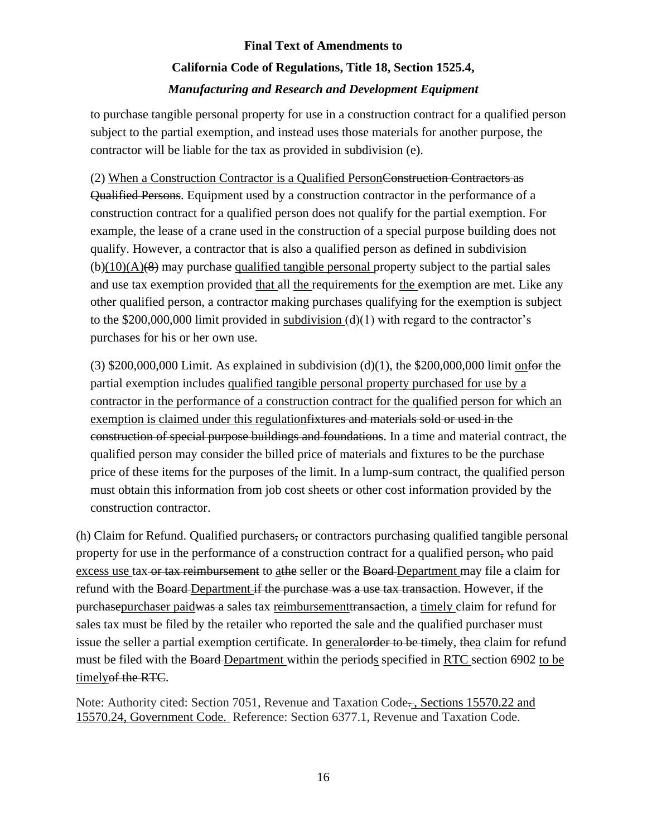to purchase tangible personal property for use in a construction contract for a qualified person subject to the partial exemption, and instead uses those materials for another purpose, the contractor will be liable for the tax as provided in subdivision (e).

(2) When a Construction Contractor is a Qualified PersonConstruction Contractors as Qualified Persons. Equipment used by a construction contractor in the performance of a construction contract for a qualified person does not qualify for the partial exemption. For example, the lease of a crane used in the construction of a special purpose building does not qualify. However, a contractor that is also a qualified person as defined in subdivision  $(b)(10)(A)(8)$  may purchase qualified tangible personal property subject to the partial sales and use tax exemption provided that all the requirements for the exemption are met. Like any other qualified person, a contractor making purchases qualifying for the exemption is subject to the  $$200,000,000$  limit provided in subdivision (d)(1) with regard to the contractor's purchases for his or her own use.

(3)  $$200,000,000$  Limit. As explained in subdivision (d)(1), the  $$200,000,000$  limit onfor the partial exemption includes qualified tangible personal property purchased for use by a contractor in the performance of a construction contract for the qualified person for which an exemption is claimed under this regulationfixtures and materials sold or used in the construction of special purpose buildings and foundations. In a time and material contract, the qualified person may consider the billed price of materials and fixtures to be the purchase price of these items for the purposes of the limit. In a lump-sum contract, the qualified person must obtain this information from job cost sheets or other cost information provided by the construction contractor.

(h) Claim for Refund. Qualified purchasers, or contractors purchasing qualified tangible personal property for use in the performance of a construction contract for a qualified person, who paid excess use tax or tax reimbursement to a the seller or the Board-Department may file a claim for refund with the Board Department if the purchase was a use tax transaction. However, if the purchasepurchaser paidwas a sales tax reimbursementtransaction, a timely claim for refund for sales tax must be filed by the retailer who reported the sale and the qualified purchaser must issue the seller a partial exemption certificate. In general order to be timely, the aclaim for refund must be filed with the Board Department within the periods specified in RTC section 6902 to be timely of the RTC.

Note: Authority cited: Section 7051, Revenue and Taxation Code-, Sections 15570.22 and 15570.24, Government Code. Reference: Section 6377.1, Revenue and Taxation Code.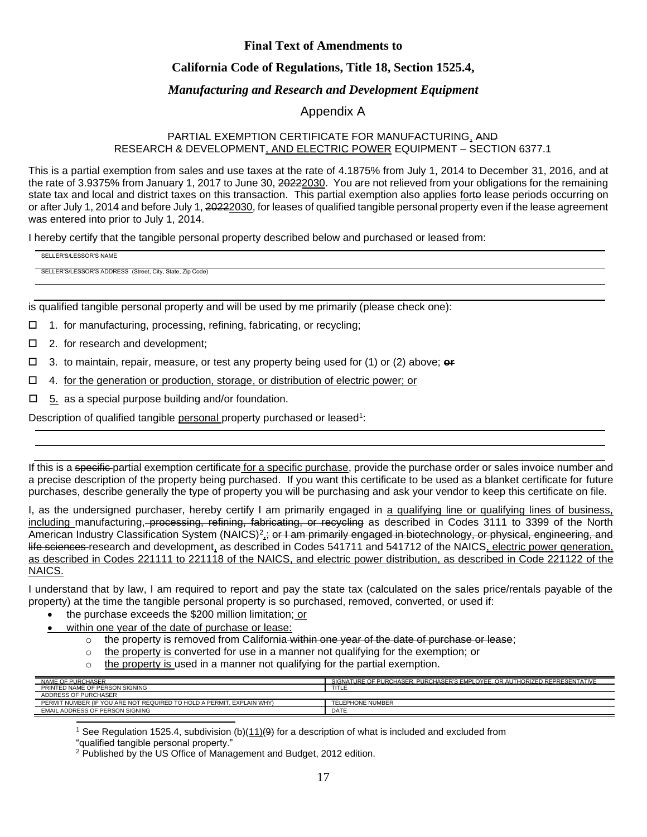#### **California Code of Regulations, Title 18, Section 1525.4,**

#### *Manufacturing and Research and Development Equipment*

#### Appendix A

#### PARTIAL EXEMPTION CERTIFICATE FOR MANUFACTURING, AND RESEARCH & DEVELOPMENT, AND ELECTRIC POWER EQUIPMENT – SECTION 6377.1

This is a partial exemption from sales and use taxes at the rate of 4.1875% from July 1, 2014 to December 31, 2016, and at the rate of 3.9375% from January 1, 2017 to June 30, 20222030. You are not relieved from your obligations for the remaining state tax and local and district taxes on this transaction. This partial exemption also applies forto lease periods occurring on or after July 1, 2014 and before July 1, 20222030, for leases of qualified tangible personal property even if the lease agreement was entered into prior to July 1, 2014.

I hereby certify that the tangible personal property described below and purchased or leased from:

SELLER'S/LESSOR'S NAME

SELLER'S/LESSOR'S ADDRESS (Street, City, State, Zip Code)

is qualified tangible personal property and will be used by me primarily (please check one):

- □ 1. for manufacturing, processing, refining, fabricating, or recycling;
- □ 2. for research and development;
- 3. to maintain, repair, measure, or test any property being used for (1) or (2) above; **or**
- $\Box$  4. for the generation or production, storage, or distribution of electric power; or
- $\Box$  5. as a special purpose building and/or foundation.

Description of qualified tangible personal property purchased or leased<sup>1</sup>:

If this is a specific-partial exemption certificate for a specific purchase, provide the purchase order or sales invoice number and a precise description of the property being purchased. If you want this certificate to be used as a blanket certificate for future purchases, describe generally the type of property you will be purchasing and ask your vendor to keep this certificate on file.

I, as the undersigned purchaser, hereby certify I am primarily engaged in a qualifying line or qualifying lines of business, including manufacturing, processing, refining, fabricating, or recycling as described in Codes 3111 to 3399 of the North American Industry Classification System (NAICS)<sup>2</sup>,; or I am primarily engaged in biotechnology, or physical, engineering, and life sciences research and development, as described in Codes 541711 and 541712 of the NAICS, electric power generation, as described in Codes 221111 to 221118 of the NAICS, and electric power distribution, as described in Code 221122 of the NAICS.

I understand that by law, I am required to report and pay the state tax (calculated on the sales price/rentals payable of the property) at the time the tangible personal property is so purchased, removed, converted, or used if:

- the purchase exceeds the \$200 million limitation; or
- within one year of the date of purchase or lease:
	- o the property is removed from California within one year of the date of purchase or lease:
	- $\circ$  the property is converted for use in a manner not qualifying for the exemption; or
	- $\circ$  the property is used in a manner not qualifying for the partial exemption.

| NAME OF PURCHASER                                                     | SIGNATURE OF PURCHASER PURCHASER'S EMPLOYEE OR AUTHORIZED REPRESENTATIVE |
|-----------------------------------------------------------------------|--------------------------------------------------------------------------|
| PRINTED NAME OF PERSON SIGNING                                        | TITLE                                                                    |
| ADDRESS OF PURCHASER                                                  |                                                                          |
| PERMIT NUMBER (IF YOU ARE NOT REQUIRED TO HOLD A PERMIT, EXPLAIN WHY) | <b>TELEPHONE NUMBER</b>                                                  |
| EMAIL ADDRESS OF PERSON SIGNING                                       | DATE                                                                     |

<sup>1</sup> See Regulation 1525.4, subdivision (b)( $\underline{11}$ ) $(4)$  for a description of what is included and excluded from

"qualified tangible personal property."

<sup>&</sup>lt;sup>2</sup> Published by the US Office of Management and Budget, 2012 edition.